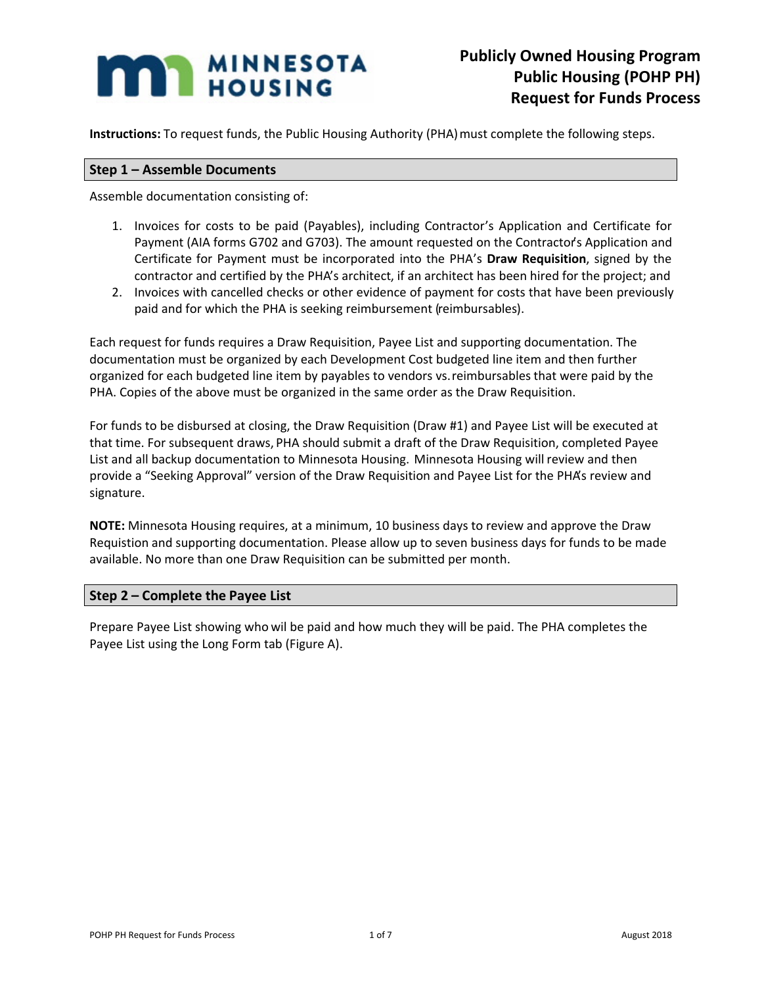## **MAN MINNESOTA**

**Instructions:** To request funds, the Public Housing Authority (PHA) must complete the following steps.

## **Step 1 – Assemble Documents**

Assemble documentation consisting of:

- 1. Invoices for costs to be paid (Payables), including Contractor's Application and Certificate for Payment (AIA forms G702 and G703). The amount requested on the Contractor's Application and Certificate for Payment must be incorporated into the PHA's **Draw Requisition**, signed by the contractor and certified by the PHA's architect, if an architect has been hired for the project; and
- 2. Invoices with cancelled checks or other evidence of payment for costs that have been previously paid and for which the PHA is seeking reimbursement (reimbursables).

Each request for funds requires a Draw Requisition, Payee List and supporting documentation. The documentation must be organized by each Development Cost budgeted line item and then further organized for each budgeted line item by payables to vendors vs. reimbursables that were paid by the PHA. Copies of the above must be organized in the same order as the Draw Requisition.

For funds to be disbursed at closing, the Draw Requisition (Draw #1) and Payee List will be executed at that time. For subsequent draws, PHA should submit a draft of the Draw Requisition, completed Payee List and all backup documentation to Minnesota Housing. Minnesota Housing will review and then provide a "Seeking Approval" version of the Draw Requisition and Payee List for the PHA's review and signature.

**NOTE:** Minnesota Housing requires, at a minimum, 10 business days to review and approve the Draw Requistion and supporting documentation. Please allow up to seven business days for funds to be made available. No more than one Draw Requisition can be submitted per month.

## **Step 2 – Complete the Payee List**

Prepare Payee List showing who wil be paid and how much they will be paid. The PHA completes the Payee List using the Long Form tab (Figure A).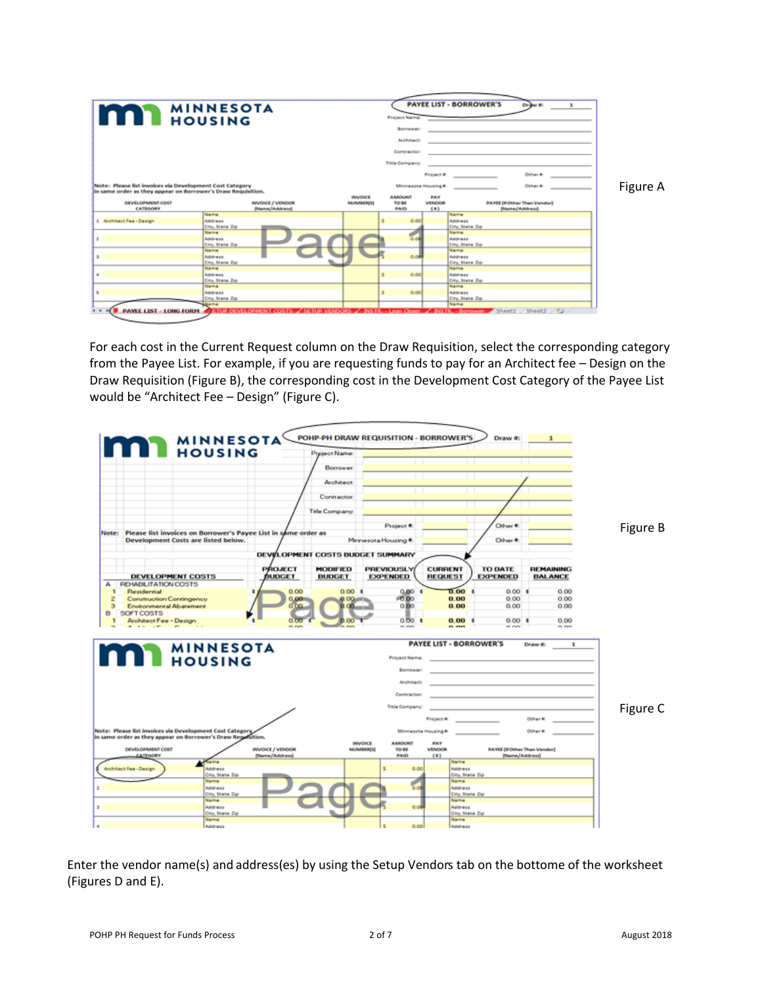| <b>IMPO</b> MINNESU                                                                                                     | <b>MINNESOTA</b>                                                                                                      |                | <b>Project Name:</b><br>Borrower:                               |                                | <b>PAYEE LIST - BORROWER'S</b><br>the control of the control of the                  | Draw #1                                               |          |
|-------------------------------------------------------------------------------------------------------------------------|-----------------------------------------------------------------------------------------------------------------------|----------------|-----------------------------------------------------------------|--------------------------------|--------------------------------------------------------------------------------------|-------------------------------------------------------|----------|
|                                                                                                                         |                                                                                                                       |                | <b>Anchitect:</b><br><b>Contractor:</b><br><b>Title Company</b> |                                | the control of the control of the<br>the contract of the contract of the contract of |                                                       |          |
| Note: Please list invoices via Development Cost Category<br>in same order as they appear on Borrower's Draw Regulation. |                                                                                                                       | <b>INVOICE</b> | Minnesota Housing #:<br><b>ANAQUIVE</b>                         | <b>Project R</b><br><b>PAY</b> |                                                                                      | Othar #<br>Other #:                                   | Figure A |
| DEVELOPMENT COST<br><b>CATEGORY</b>                                                                                     | INVOICE / VENDOR<br><b>Diame/Address)</b>                                                                             | NUMBER(S)      | TO BE<br>PAID                                                   | <b>VENDOR</b><br>(x)           |                                                                                      | <b>PAYEE (If Other Than Vendor)</b><br>(Name/Address) |          |
| 1 Architect Fee - Design                                                                                                | Name<br>Address<br>City, State Zip                                                                                    |                | 0.00                                                            |                                | Name<br><b>Address</b><br>City, State Zip                                            |                                                       |          |
| $\overline{a}$                                                                                                          | Name<br>Address<br>City, State Zip                                                                                    |                | 0.04                                                            |                                | Name<br>Address<br>City, State Zip                                                   |                                                       |          |
|                                                                                                                         | Name<br>Address<br>City, State Zip<br>Name                                                                            |                | 0.04                                                            |                                | Name<br>Address<br>City, State Zip.<br>Name                                          |                                                       |          |
| ٠                                                                                                                       | Address<br>City, State Dp.<br>Name                                                                                    |                | 0.00<br>5                                                       |                                | Address<br>City, State Zip<br>Name                                                   |                                                       |          |
| s.                                                                                                                      | Address<br>City, State Dp.                                                                                            |                | \$<br>0.00                                                      |                                | <b>Address</b><br>City, State Zip<br>Name                                            |                                                       |          |
|                                                                                                                         | PAYLE LIST LONG FORM PETER DEVELOPMENT COSTS / SETUP VERDORS / BISTR. Loan Coser / BISTR. Borrower Sheet1 Sheet2 / 23 |                |                                                                 |                                |                                                                                      |                                                       |          |

For each cost in the Current Request column on the Draw Requisition, select the corresponding category from the Payee List. For example, if you are requesting funds to pay for an Architect fee – Design on the Draw Requisition (Figure B), the corresponding cost in the Development Cost Category of the Payee List would be "Architect Fee – Design" (Figure C).



Enter the vendor name(s) and address(es) by using the Setup Vendors tab on the bottome of the worksheet (Figures D and E).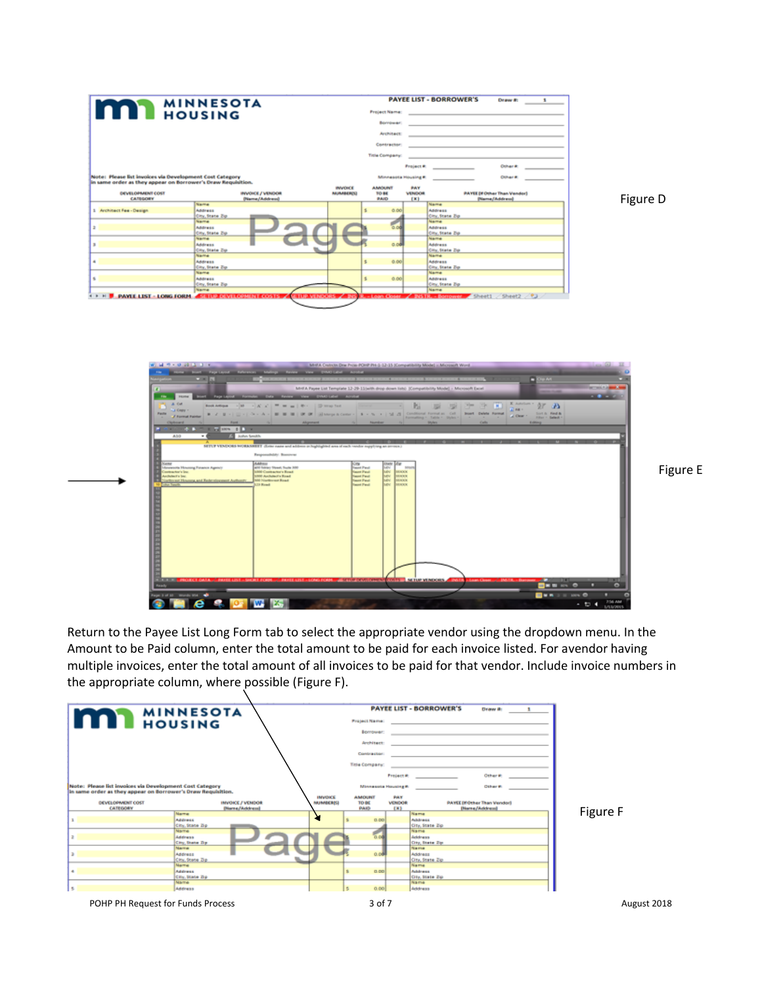|                                                              | <b>MINNESOTA</b>        |                                           |    | <b>PAYEE LIST - BORROWER'S</b> | Draw #:              |                  |                                    |  |
|--------------------------------------------------------------|-------------------------|-------------------------------------------|----|--------------------------------|----------------------|------------------|------------------------------------|--|
| <b>MAN MINNESO</b>                                           |                         |                                           |    | <b>Froject Name:</b>           |                      |                  |                                    |  |
|                                                              |                         |                                           |    | <b>Bornbeach</b>               |                      |                  |                                    |  |
|                                                              |                         |                                           |    | <b>Architect:</b>              |                      |                  |                                    |  |
|                                                              |                         |                                           |    | <b>Contractor</b>              |                      |                  |                                    |  |
|                                                              |                         |                                           |    |                                |                      |                  |                                    |  |
|                                                              |                         |                                           |    | <b>Title Company:</b>          |                      |                  |                                    |  |
|                                                              |                         |                                           |    |                                | <b>Project #</b>     |                  | <b>Cohar #</b>                     |  |
| Note: Please list invoices via Development Cost Category     |                         |                                           |    | Minnesota Housing #            |                      |                  | <b>CARALE</b>                      |  |
| in same order as they appear on Borrower's Draw Requisition. |                         |                                           |    |                                |                      |                  |                                    |  |
| DEVELOPMENT COST                                             | INVOICE / VENDOR        | <b>INVOICE</b><br><b><i>NUMBER(S)</i></b> |    | AMOUNT<br>TO BE                | <b>PAY</b><br>VENDOR |                  | <b>PAYEE DF Other Than Vendor)</b> |  |
| <b>CATEGORY</b>                                              | (Nama/Address)          |                                           |    | PAID                           | (K)                  |                  | (Nama/Address)                     |  |
|                                                              | <b>Marine</b>           |                                           |    |                                |                      | <b>Marmer</b>    |                                    |  |
| 1 Architect Fee - Design                                     | Address                 |                                           |    | 0.06                           |                      | Address          |                                    |  |
|                                                              | City, State Zip         |                                           |    |                                |                      | City, State Zip. |                                    |  |
|                                                              | Name                    |                                           |    |                                |                      | Name             |                                    |  |
|                                                              | Address                 |                                           |    | 0.06                           |                      |                  |                                    |  |
| ÷                                                            |                         |                                           |    |                                |                      | Address          |                                    |  |
|                                                              | City, State Zip         |                                           |    |                                |                      | City, State Zip. |                                    |  |
|                                                              | Name                    |                                           |    |                                |                      | Name             |                                    |  |
| ж                                                            | Address                 |                                           |    | 0.08                           |                      | <b>Address</b>   |                                    |  |
|                                                              | City, State Zip         |                                           |    |                                |                      | City, State Zip  |                                    |  |
|                                                              | Name                    |                                           |    |                                |                      | Name             |                                    |  |
| ٠                                                            | Address                 |                                           | s. | 0.00                           |                      | Address          |                                    |  |
|                                                              | City, State Zip.        |                                           |    |                                |                      | City, State Zip. |                                    |  |
|                                                              | Name                    |                                           |    |                                |                      | Name             |                                    |  |
|                                                              | Address                 |                                           |    | 0.06                           |                      | Address          |                                    |  |
|                                                              |                         |                                           |    |                                |                      | City, State Zip. |                                    |  |
|                                                              |                         |                                           |    |                                |                      |                  |                                    |  |
| s                                                            | City, State Zip<br>Name |                                           |    |                                |                      | Name             |                                    |  |

Figure D



Return to the Payee List Long Form tab to select the appropriate vendor using the dropdown menu. In the Amount to be Paid column, enter the total amount to be paid for each invoice listed. For avendor having multiple invoices, enter the total amount of all invoices to be paid for that vendor. Include invoice numbers in the appropriate column, where possible (Figure F).



Figure E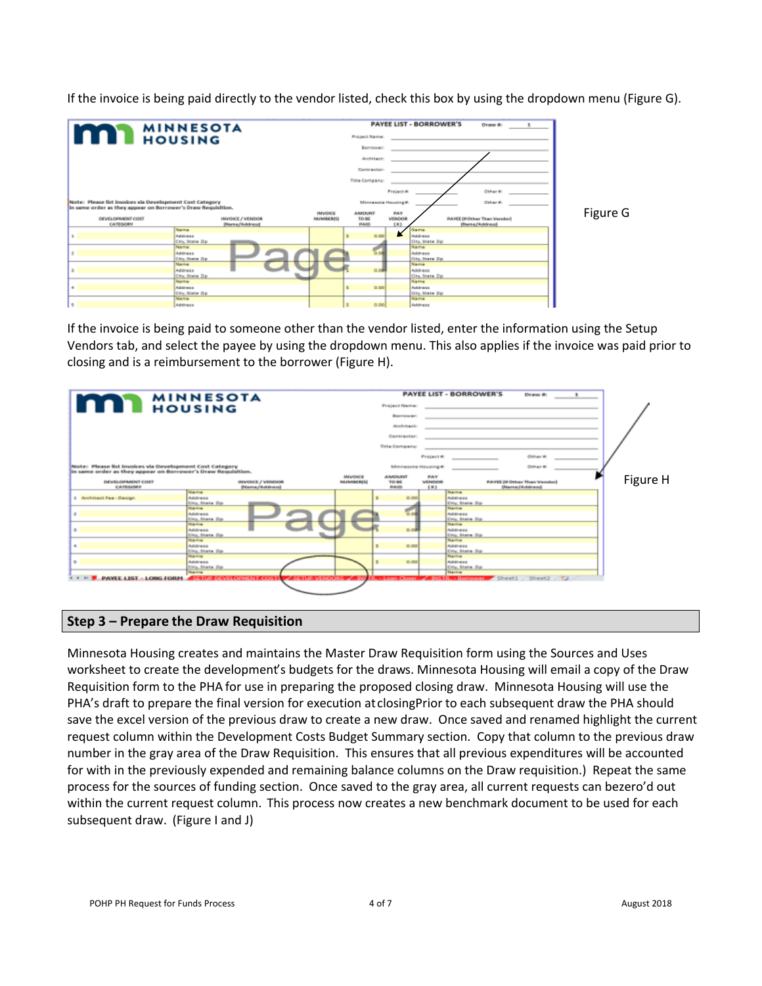If the invoice is being paid directly to the vendor listed, check this box by using the dropdown menu (Figure G).



If the invoice is being paid to someone other than the vendor listed, enter the information using the Setup Vendors tab, and select the payee by using the dropdown menu. This also applies if the invoice was paid prior to closing and is a reimbursement to the borrower (Figure H).



## **Step 3 – Prepare the Draw Requisition**

Minnesota Housing creates and maintains the Master Draw Requisition form using the Sources and Uses worksheet to create the development's budgets for the draws. Minnesota Housing will email a copy of the Draw Requisition form to the PHA for use in preparing the proposed closing draw. Minnesota Housing will use the PHA's draft to prepare the final version for execution at closingPrior to each subsequent draw the PHA should save the excel version of the previous draw to create a new draw. Once saved and renamed highlight the current request column within the Development Costs Budget Summary section. Copy that column to the previous draw number in the gray area of the Draw Requisition. This ensures that all previous expenditures will be accounted for with in the previously expended and remaining balance columns on the Draw requisition.) Repeat the same process for the sources of funding section. Once saved to the gray area, all current requests can bezero'd out within the current request column. This process now creates a new benchmark document to be used for each subsequent draw. (Figure I and J)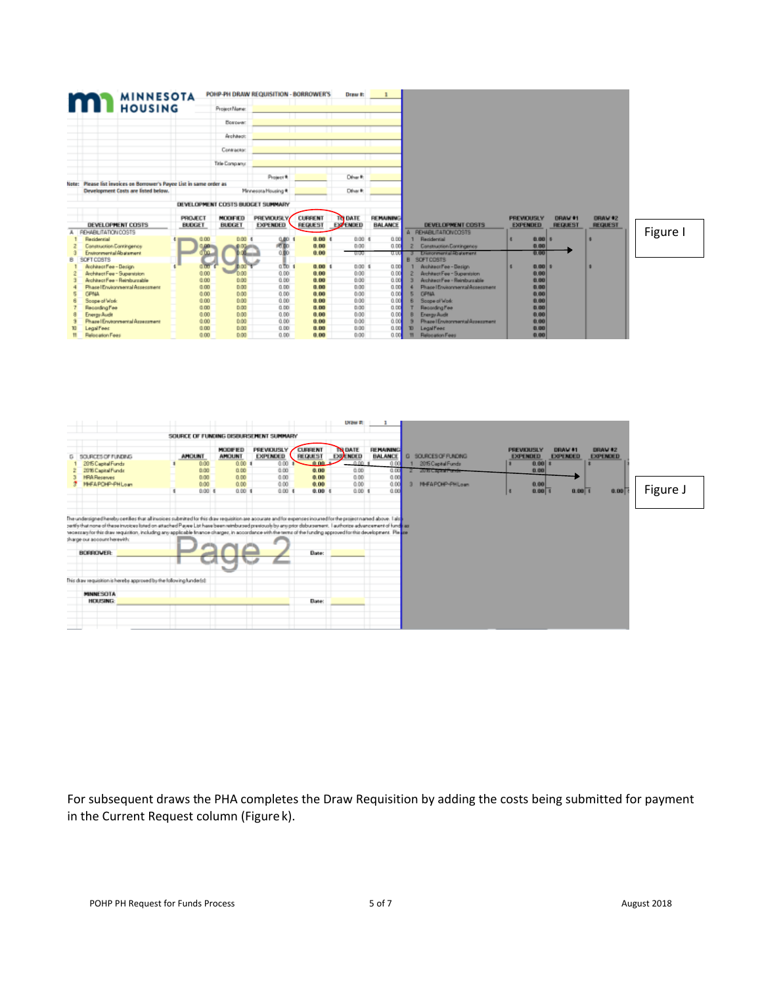|   | <b>MINNESOTA</b>                                                     |                                 | POHP-PH DRAW REQUISITION - BORROWER'S |                                      |                           | Draw #:                    |                                    |                                     |                                      |      |                           |                           |          |
|---|----------------------------------------------------------------------|---------------------------------|---------------------------------------|--------------------------------------|---------------------------|----------------------------|------------------------------------|-------------------------------------|--------------------------------------|------|---------------------------|---------------------------|----------|
|   | <b>MINNING</b>                                                       |                                 | Project Name:                         |                                      |                           |                            |                                    |                                     |                                      |      |                           |                           |          |
|   |                                                                      |                                 | Borowan                               |                                      |                           |                            |                                    |                                     |                                      |      |                           |                           |          |
|   |                                                                      |                                 | Architect:                            |                                      |                           |                            |                                    |                                     |                                      |      |                           |                           |          |
|   |                                                                      |                                 | Contractor:                           |                                      |                           |                            |                                    |                                     |                                      |      |                           |                           |          |
|   |                                                                      |                                 | Title Company:                        |                                      |                           |                            |                                    |                                     |                                      |      |                           |                           |          |
|   |                                                                      |                                 |                                       | Project *                            |                           | Direct R.                  |                                    |                                     |                                      |      |                           |                           |          |
|   | Note: Please fist invoices on Borrower's Payee List in same order as |                                 |                                       |                                      |                           |                            |                                    |                                     |                                      |      |                           |                           |          |
|   | Development Casts are listed below.                                  |                                 |                                       | Minnesota Housing #                  |                           | Direct:                    |                                    |                                     |                                      |      |                           |                           |          |
|   |                                                                      |                                 | DEVELOPMENT COSTS BUDGET SUMMARY      |                                      |                           |                            |                                    |                                     |                                      |      |                           |                           |          |
|   | DEVELOPMENT COSTS                                                    | <b>PROJECT</b><br><b>BUDGET</b> | <b>MODIFIED</b><br><b>BUDGET</b>      | <b>PREVIOUSLY</b><br><b>EXPENDED</b> | <b>CURRENT</b><br>REQUEST | TO DATE<br><b>EXPENDED</b> | <b>REMAINING</b><br><b>BALANCE</b> | <b>DEVELOPMENT COSTS</b>            | <b>PREVIOUSLY</b><br><b>EXPENDED</b> |      | DRAW 01<br><b>REQUEST</b> | DRAW #2<br><b>REQUEST</b> |          |
|   | REHABILITATION DOSTS                                                 |                                 |                                       |                                      |                           |                            |                                    | A FEHABLITATION COSTS               |                                      |      |                           |                           | Figure I |
|   | Recidential                                                          | 0.00                            | 0.00 \$                               | 0.00                                 | 0.00 <sub>0</sub>         | $0.00$ 5                   | <b>Q.DO</b>                        | <b>Racidential</b>                  |                                      | 0.00 |                           |                           |          |
|   | Construction Contingence                                             |                                 |                                       | PO BO                                | 0.00                      | 0.00                       | 0.00                               | Construction Contingence            |                                      | 0.00 |                           |                           |          |
|   | Environmental Abatement                                              |                                 |                                       | 0.BO                                 | 0.00                      | <b>UUU</b>                 | սա                                 | 3 Environmental Roalsment           |                                      | 0.00 |                           |                           |          |
| B | SOFT COSTS                                                           |                                 |                                       |                                      |                           |                            |                                    | <b>B</b> SOFTCOSTS                  |                                      |      |                           |                           |          |
|   | Architect Fee - Design                                               |                                 |                                       | $0.701$ \$                           | 0.001                     | $0.00$ \$                  | 0.00                               | Architect Fee - Design              |                                      | 0.00 |                           |                           |          |
|   | Architect Fee - Supervision                                          | 0.00                            | nn ó                                  | 0.00                                 | 0.00                      | 0.00                       | 0.00                               | Architect Fee - Superstaton         |                                      | 0.00 |                           |                           |          |
|   | Architect Fee - Reimburgable                                         | 0.00                            | 0.00                                  | 0.00                                 | 0.00                      | 0.00                       | 0.00                               | Architect Fee - Reimburgable        |                                      | 0.00 |                           |                           |          |
|   | Phace I Environmental Accecoment                                     | 0.00                            | 0.00                                  | 0.00                                 | 0.00                      | 0.00                       | 0.00                               | Phase I Environmental Assessment    |                                      | 0.00 |                           |                           |          |
|   | <b>GPMA</b>                                                          | 0.00                            | 0.00                                  | 0.00                                 | 0.00                      | 0.00                       | 0.00                               | <b>GPMA</b>                         |                                      | 0.00 |                           |                           |          |
|   | Soape of Work                                                        | 0.00                            | 0.00                                  | 0.00                                 | 0.00                      | 0.00                       | 0.00                               | Soape of Work                       |                                      | 0.00 |                           |                           |          |
|   | Recording Fee                                                        | 0.00                            | 0.00                                  | 0.00                                 | 0.00                      | 0.00                       | 0.00                               | Recording Fee                       |                                      | 0.00 |                           |                           |          |
|   | Ervergu Audit                                                        | 0.00                            | 0.00                                  | 0.00                                 | 0.00                      | 0.00                       | 0.00                               | <b>Energy Audit</b>                 |                                      | 0.00 |                           |                           |          |
|   | Phaze   Environmental Azzezzment                                     | 0.00                            | 0.00                                  | 0.00                                 | 0.00                      | 0.00                       | 0.00                               | Phase   Environmental Assessment    |                                      | 0.00 |                           |                           |          |
|   | <b>Legal Fees</b>                                                    | 0.00                            | 0.00                                  | 0.00                                 | 0.00                      | 0.00                       | 0.00                               | <b>Legal Fees:</b><br><b>TO</b>     |                                      | 0.00 |                           |                           |          |
|   | Relocation Fees                                                      | 0.00                            | 0.00                                  | 0.00                                 | 0.00                      | 0.00                       | 0.00                               | <b>Relocation Fees</b><br><b>TI</b> |                                      | 0.00 |                           |                           |          |



For subsequent draws the PHA completes the Draw Requisition by adding the costs being submitted for payment in the Current Request column (Figure k).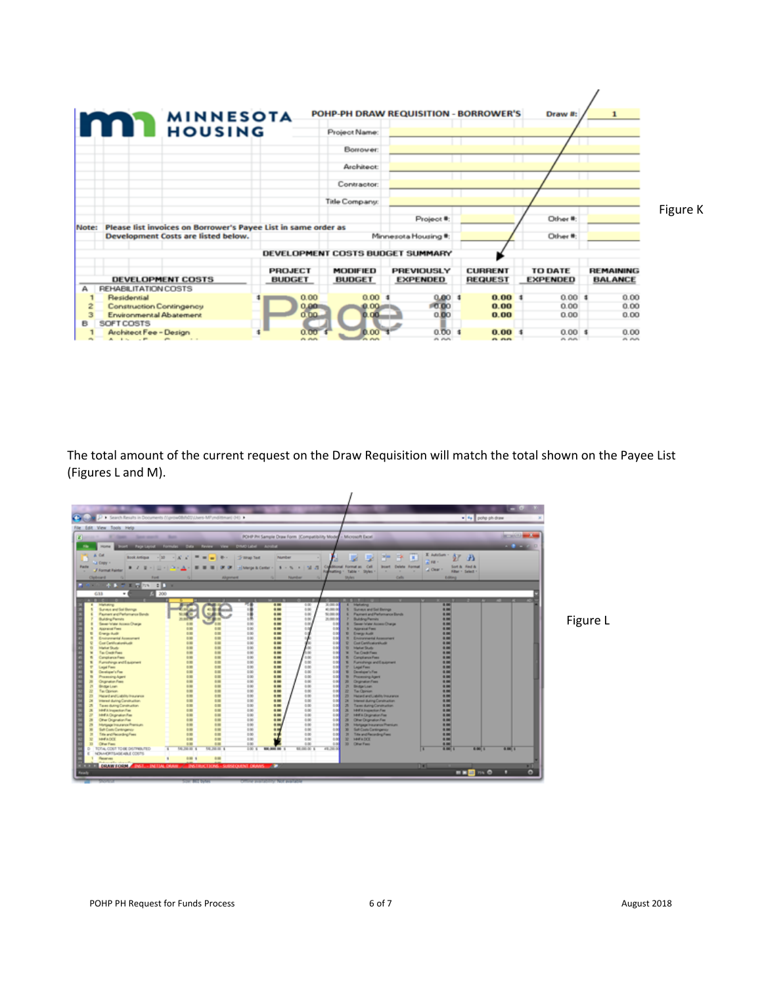| <b>MINNESOTA</b><br><b>MAN</b> HOUSING                                                                         |                                 |                                  | POHP-PH DRAW REQUISITION - BORROWER'S |                                  | Draw #:                           | $\mathbf{1}$                       |          |
|----------------------------------------------------------------------------------------------------------------|---------------------------------|----------------------------------|---------------------------------------|----------------------------------|-----------------------------------|------------------------------------|----------|
|                                                                                                                |                                 | Project Name:                    |                                       |                                  |                                   |                                    |          |
|                                                                                                                |                                 | Borrower:                        |                                       |                                  |                                   |                                    |          |
|                                                                                                                |                                 | Architect                        |                                       |                                  |                                   |                                    |          |
|                                                                                                                |                                 | Contractor                       |                                       |                                  |                                   |                                    |          |
|                                                                                                                |                                 | <b>Title Company:</b>            |                                       |                                  |                                   |                                    |          |
|                                                                                                                |                                 |                                  | Project <sup>®</sup> :                |                                  | Other <sup>#</sup> :              |                                    | Figure K |
| Please list invoices on Borrower's Payee List in same order as<br>Note:<br>Development Costs are listed below. |                                 |                                  | Minnesota Housing #:                  |                                  | Other #:                          |                                    |          |
|                                                                                                                |                                 |                                  |                                       |                                  |                                   |                                    |          |
|                                                                                                                |                                 |                                  | DEVELOPMENT COSTS BUDGET SUMMARY      |                                  |                                   |                                    |          |
| <b>DEVELOPMENT COSTS</b>                                                                                       | <b>PROJECT</b><br><b>BUDGET</b> | <b>MODIFIED</b><br><b>BUDGET</b> | PREVIOUSLY<br><b>EXPENDED</b>         | <b>CURRENT</b><br><b>REQUEST</b> | <b>TO DATE</b><br><b>EXPENDED</b> | <b>REMAINING</b><br><b>BALANCE</b> |          |
| <b>REHABILITATION COSTS</b><br>А                                                                               |                                 |                                  |                                       |                                  |                                   |                                    |          |
| Residential                                                                                                    | 0.00                            | 0.00                             | 0.0013                                | 0.001                            | 0.001                             | 0.00                               |          |
| <b>Construction Contingency</b>                                                                                | 0.90                            | 0.00                             | 10.00                                 | 0.00                             | 0.00                              | 0.00                               |          |
| Environmental Abatement<br>3<br>SOFT COSTS<br>B                                                                | 0.00                            | 0.00                             | 0.00                                  | 0.00                             | 0.00                              | 0.00                               |          |
| Architect Fee - Design                                                                                         | 0.00                            | 0.00                             | 0.0011                                | 0.00                             | 0.001                             | 0.00                               |          |
| $A \cup B$ , $B \cup B$<br>$\sim$                                                                              | <b>CLICK</b>                    | <b>CONTRACTOR</b>                | n nn                                  | <b>PL FLFL</b>                   | n nn                              | A A                                |          |

The total amount of the current request on the Draw Requisition will match the total shown on the Payee List (Figures L and M).